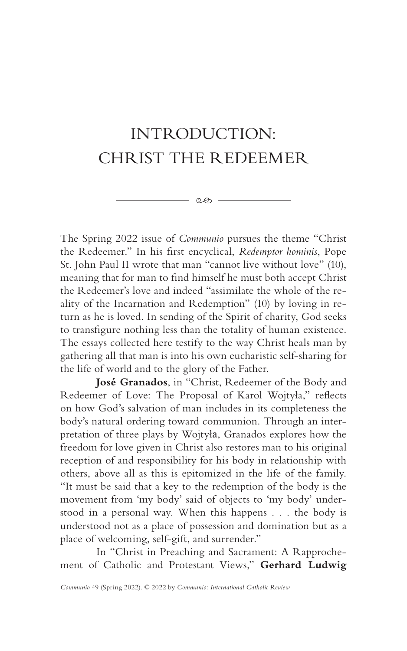## INTRODUCTION: CHRIST THE REDEEMER

 $e \otimes -$ 

The Spring 2022 issue of *Communio* pursues the theme "Christ the Redeemer." In his first encyclical, *Redemptor hominis*, Pope St. John Paul II wrote that man "cannot live without love" (10), meaning that for man to find himself he must both accept Christ the Redeemer's love and indeed "assimilate the whole of the reality of the Incarnation and Redemption" (10) by loving in return as he is loved. In sending of the Spirit of charity, God seeks to transfigure nothing less than the totality of human existence. The essays collected here testify to the way Christ heals man by gathering all that man is into his own eucharistic self-sharing for the life of world and to the glory of the Father.

**José Granados**, in "Christ, Redeemer of the Body and Redeemer of Love: The Proposal of Karol Wojtyła," reflects on how God's salvation of man includes in its completeness the body's natural ordering toward communion. Through an interpretation of three plays by Wojtyła, Granados explores how the freedom for love given in Christ also restores man to his original reception of and responsibility for his body in relationship with others, above all as this is epitomized in the life of the family. "It must be said that a key to the redemption of the body is the movement from 'my body' said of objects to 'my body' understood in a personal way. When this happens . . . the body is understood not as a place of possession and domination but as a place of welcoming, self-gift, and surrender."

In "Christ in Preaching and Sacrament: A Rapprochement of Catholic and Protestant Views," **Gerhard Ludwig**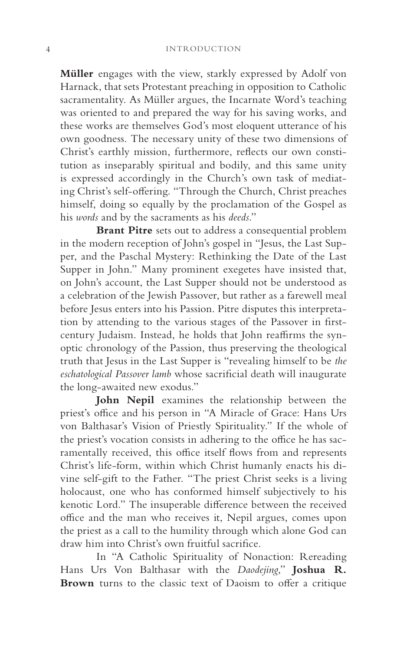**Müller** engages with the view, starkly expressed by Adolf von Harnack, that sets Protestant preaching in opposition to Catholic sacramentality. As Müller argues, the Incarnate Word's teaching was oriented to and prepared the way for his saving works, and these works are themselves God's most eloquent utterance of his own goodness. The necessary unity of these two dimensions of Christ's earthly mission, furthermore, reflects our own constitution as inseparably spiritual and bodily, and this same unity is expressed accordingly in the Church's own task of mediating Christ's self-offering. "Through the Church, Christ preaches himself, doing so equally by the proclamation of the Gospel as his *words* and by the sacraments as his *deeds*."

**Brant Pitre** sets out to address a consequential problem in the modern reception of John's gospel in "Jesus, the Last Supper, and the Paschal Mystery: Rethinking the Date of the Last Supper in John." Many prominent exegetes have insisted that, on John's account, the Last Supper should not be understood as a celebration of the Jewish Passover, but rather as a farewell meal before Jesus enters into his Passion. Pitre disputes this interpretation by attending to the various stages of the Passover in firstcentury Judaism. Instead, he holds that John reaffirms the synoptic chronology of the Passion, thus preserving the theological truth that Jesus in the Last Supper is "revealing himself to be *the eschatological Passover lamb* whose sacrificial death will inaugurate the long-awaited new exodus."

**John Nepil** examines the relationship between the priest's office and his person in "A Miracle of Grace: Hans Urs von Balthasar's Vision of Priestly Spirituality." If the whole of the priest's vocation consists in adhering to the office he has sacramentally received, this office itself flows from and represents Christ's life-form, within which Christ humanly enacts his divine self-gift to the Father. "The priest Christ seeks is a living holocaust, one who has conformed himself subjectively to his kenotic Lord." The insuperable difference between the received office and the man who receives it, Nepil argues, comes upon the priest as a call to the humility through which alone God can draw him into Christ's own fruitful sacrifice.

In "A Catholic Spirituality of Nonaction: Rereading Hans Urs Von Balthasar with the *Daodejing*," **Joshua R. Brown** turns to the classic text of Daoism to offer a critique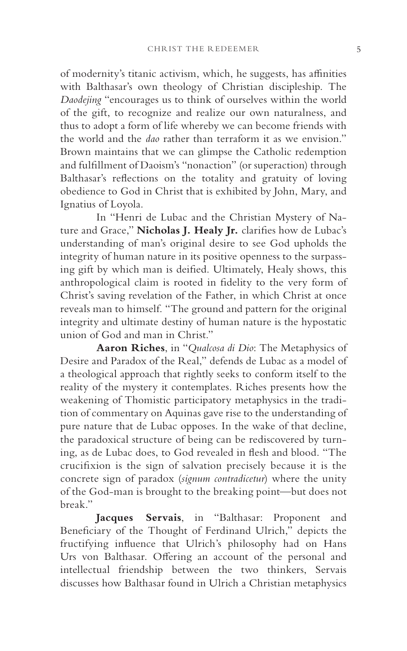of modernity's titanic activism, which, he suggests, has affinities with Balthasar's own theology of Christian discipleship. The *Daodejing* "encourages us to think of ourselves within the world of the gift, to recognize and realize our own naturalness, and thus to adopt a form of life whereby we can become friends with the world and the *dao* rather than terraform it as we envision." Brown maintains that we can glimpse the Catholic redemption and fulfillment of Daoism's "nonaction" (or superaction) through Balthasar's reflections on the totality and gratuity of loving obedience to God in Christ that is exhibited by John, Mary, and Ignatius of Loyola.

In "Henri de Lubac and the Christian Mystery of Nature and Grace," **Nicholas J. Healy Jr.** clarifies how de Lubac's understanding of man's original desire to see God upholds the integrity of human nature in its positive openness to the surpassing gift by which man is deified. Ultimately, Healy shows, this anthropological claim is rooted in fidelity to the very form of Christ's saving revelation of the Father, in which Christ at once reveals man to himself. "The ground and pattern for the original integrity and ultimate destiny of human nature is the hypostatic union of God and man in Christ."

**Aaron Riches**, in "*Qualcosa di Dio*: The Metaphysics of Desire and Paradox of the Real," defends de Lubac as a model of a theological approach that rightly seeks to conform itself to the reality of the mystery it contemplates. Riches presents how the weakening of Thomistic participatory metaphysics in the tradition of commentary on Aquinas gave rise to the understanding of pure nature that de Lubac opposes. In the wake of that decline, the paradoxical structure of being can be rediscovered by turning, as de Lubac does, to God revealed in flesh and blood. "The crucifixion is the sign of salvation precisely because it is the concrete sign of paradox (*signum contradicetur*) where the unity of the God-man is brought to the breaking point—but does not break."

**Jacques Servais**, in "Balthasar: Proponent and Beneficiary of the Thought of Ferdinand Ulrich," depicts the fructifying influence that Ulrich's philosophy had on Hans Urs von Balthasar. Offering an account of the personal and intellectual friendship between the two thinkers, Servais discusses how Balthasar found in Ulrich a Christian metaphysics